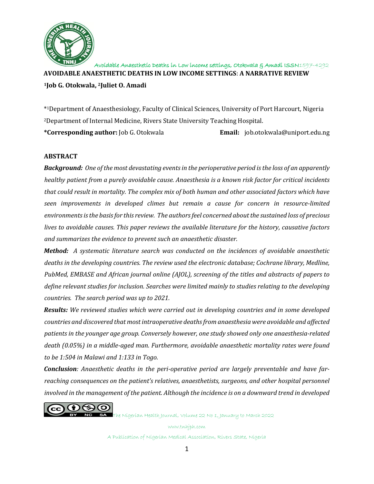

**AVOIDABLE ANAESTHETIC DEATHS IN LOW INCOME SETTINGS**: **A NARRATIVE REVIEW**

**<sup>1</sup>Job G. Otokwala, <sup>2</sup>Juliet O. Amadi**

\* <sup>1</sup>Department of Anaesthesiology, Faculty of Clinical Sciences, University of Port Harcourt, Nigeria <sup>2</sup>Department of Internal Medicine, Rivers State University Teaching Hospital.

**\*Corresponding author:** Job G. Otokwala **Email:** job.otokwala@uniport.edu.ng

## **ABSTRACT**

*Background: One of the most devastating events in the perioperative period is the loss of an apparently healthy patient from a purely avoidable cause. Anaesthesia is a known risk factor for critical incidents that could result in mortality. The complex mix of both human and other associated factors which have seen improvements in developed climes but remain a cause for concern in resource-limited environments is the basis for this review. The authors feel concerned about the sustained loss of precious lives to avoidable causes. This paper reviews the available literature for the history, causative factors and summarizes the evidence to prevent such an anaesthetic disaster.* 

*Method: A systematic literature search was conducted on the incidences of avoidable anaesthetic deaths in the developing countries. The review used the electronic database; Cochrane library, Medline, PubMed, EMBASE and African journal online (AJOL), screening of the titles and abstracts of papers to define relevant studies for inclusion. Searches were limited mainly to studies relating to the developing countries. The search period was up to 2021.*

*Results: We reviewed studies which were carried out in developing countries and in some developed countries and discovered that most intraoperative deaths from anaesthesia were avoidable and affected patients in the younger age group. Conversely however, one study showed only one anaesthesia-related death (0.05%) in a middle-aged man. Furthermore, avoidable anaesthetic mortality rates were found to be 1:504 in Malawi and 1:133 in Togo.*

*Conclusion: Anaesthetic deaths in the peri-operative period are largely preventable and have farreaching consequences on the patient's relatives, anaesthetists, surgeons, and other hospital personnel involved in the management of the patient. Although the incidence is on a downward trend in developed* 



SA The Nigerian Health Journal, Volume 22 No 1, January to March 2022

www.tnhjph.com A Publication of Nigerian Medical Association, Rivers State, Nigeria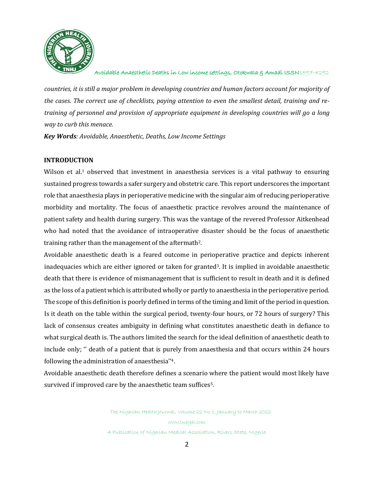

*countries, it is still a major problem in developing countries and human factors account for majority of the cases. The correct use of checklists, paying attention to even the smallest detail, training and retraining of personnel and provision of appropriate equipment in developing countries will go a long way to curb this menace.*

*Key Words: Avoidable, Anaesthetic, Deaths, Low Income Settings*

# **INTRODUCTION**

Wilson et al.<sup>1</sup> observed that investment in anaesthesia services is a vital pathway to ensuring sustained progress towards a safer surgery and obstetric care. This report underscores the important role that anaesthesia plays in perioperative medicine with the singular aim of reducing perioperative morbidity and mortality. The focus of anaesthetic practice revolves around the maintenance of patient safety and health during surgery. This was the vantage of the revered Professor Aitkenhead who had noted that the avoidance of intraoperative disaster should be the focus of anaesthetic training rather than the management of the aftermath2.

Avoidable anaesthetic death is a feared outcome in perioperative practice and depicts inherent inadequacies which are either ignored or taken for granted<sup>3</sup>. It is implied in avoidable anaesthetic death that there is evidence of mismanagement that is sufficient to result in death and it is defined as the loss of a patient which is attributed wholly or partly to anaesthesia in the perioperative period. The scope of this definition is poorly defined in terms of the timing and limit of the period in question. Is it death on the table within the surgical period, twenty-four hours, or 72 hours of surgery? This lack of consensus creates ambiguity in defining what constitutes anaesthetic death in defiance to what surgical death is. The authors limited the search for the ideal definition of anaesthetic death to include only; '' death of a patient that is purely from anaesthesia and that occurs within 24 hours following the administration of anaesthesia''4.

Avoidable anaesthetic death therefore defines a scenario where the patient would most likely have survived if improved care by the anaesthetic team suffices5.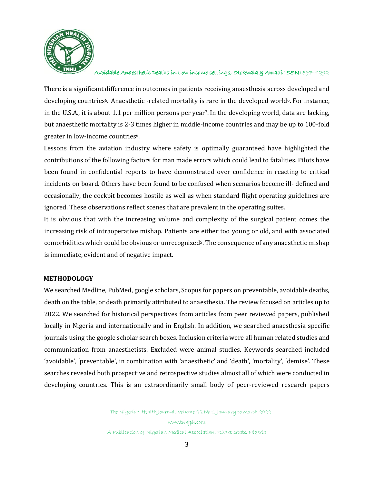

There is a significant difference in outcomes in patients receiving anaesthesia across developed and developing countries<sup>6</sup>. Anaesthetic -related mortality is rare in the developed world<sup>6</sup>. For instance, in the U.S.A., it is about 1.1 per million persons per year7. In the developing world, data are lacking, but anaesthetic mortality is 2-3 times higher in middle-income countries and may be up to 100-fold greater in low-income countries6.

Lessons from the aviation industry where safety is optimally guaranteed have highlighted the contributions of the following factors for man made errors which could lead to fatalities. Pilots have been found in confidential reports to have demonstrated over confidence in reacting to critical incidents on board. Others have been found to be confused when scenarios become ill- defined and occasionally, the cockpit becomes hostile as well as when standard flight operating guidelines are ignored. These observations reflect scenes that are prevalent in the operating suites.

It is obvious that with the increasing volume and complexity of the surgical patient comes the increasing risk of intraoperative mishap. Patients are either too young or old, and with associated comorbidities which could be obvious or unrecognized5. The consequence of any anaesthetic mishap is immediate, evident and of negative impact.

## **METHODOLOGY**

We searched Medline, PubMed, google scholars, Scopus for papers on preventable, avoidable deaths, death on the table, or death primarily attributed to anaesthesia. The review focused on articles up to 2022. We searched for historical perspectives from articles from peer reviewed papers, published locally in Nigeria and internationally and in English. In addition, we searched anaesthesia specific journals using the google scholar search boxes. Inclusion criteria were all human related studies and communication from anaesthetists. Excluded were animal studies. Keywords searched included 'avoidable', 'preventable', in combination with 'anaesthetic' and 'death', 'mortality', 'demise'. These searches revealed both prospective and retrospective studies almost all of which were conducted in developing countries. This is an extraordinarily small body of peer-reviewed research papers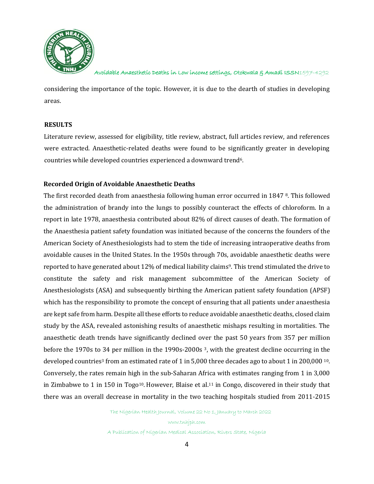

considering the importance of the topic. However, it is due to the dearth of studies in developing areas.

## **RESULTS**

Literature review, assessed for eligibility, title review, abstract, full articles review, and references were extracted. Anaesthetic-related deaths were found to be significantly greater in developing countries while developed countries experienced a downward trend<sup>6</sup>.

### **Recorded Origin of Avoidable Anaesthetic Deaths**

The first recorded death from anaesthesia following human error occurred in 1847 8. This followed the administration of brandy into the lungs to possibly counteract the effects of chloroform. In a report in late 1978, anaesthesia contributed about 82% of direct causes of death. The formation of the Anaesthesia patient safety foundation was initiated because of the concerns the founders of the American Society of Anesthesiologists had to stem the tide of increasing intraoperative deaths from avoidable causes in the United States. In the 1950s through 70s, avoidable anaesthetic deaths were reported to have generated about 12% of medical liability claims<sup>9</sup>. This trend stimulated the drive to constitute the safety and risk management subcommittee of the American Society of Anesthesiologists (ASA) and subsequently birthing the American patient safety foundation (APSF) which has the responsibility to promote the concept of ensuring that all patients under anaesthesia are kept safe from harm. Despite all these efforts to reduce avoidable anaesthetic deaths, closed claim study by the ASA, revealed astonishing results of anaesthetic mishaps resulting in mortalities. The anaesthetic death trends have significantly declined over the past 50 years from 357 per million before the 1970s to 34 per million in the 1990s-2000s<sup>3</sup>, with the greatest decline occurring in the developed countries<sup>3</sup> from an estimated rate of 1 in 5,000 three decades ago to about 1 in 200,000  $^{10}$ . Conversely, the rates remain high in the sub-Saharan Africa with estimates ranging from 1 in 3,000 in Zimbabwe to 1 in 150 in Togo<sup>10</sup>. However, Blaise et al.<sup>11</sup> in Congo, discovered in their study that there was an overall decrease in mortality in the two teaching hospitals studied from 2011-2015

The Nigerian Health Journal, Volume 22 No 1, January to March 2022

www.tnhjph.com A Publication of Nigerian Medical Association, Rivers State, Nigeria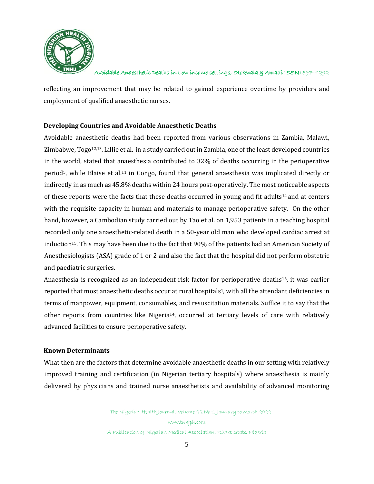

reflecting an improvement that may be related to gained experience overtime by providers and employment of qualified anaesthetic nurses.

## **Developing Countries and Avoidable Anaesthetic Deaths**

Avoidable anaesthetic deaths had been reported from various observations in Zambia, Malawi, Zimbabwe, Togo12,13. Lillie et al. in a study carried out in Zambia, one of the least developed countries in the world, stated that anaesthesia contributed to 32% of deaths occurring in the perioperative period<sup>5</sup>, while Blaise et al.<sup>11</sup> in Congo, found that general anaesthesia was implicated directly or indirectly in as much as 45.8% deaths within 24 hours post-operatively. The most noticeable aspects of these reports were the facts that these deaths occurred in young and fit adults<sup>14</sup> and at centers with the requisite capacity in human and materials to manage perioperative safety. On the other hand, however, a Cambodian study carried out by Tao et al. on 1,953 patients in a teaching hospital recorded only one anaesthetic-related death in a 50-year old man who developed cardiac arrest at induction<sup>15</sup>. This may have been due to the fact that 90% of the patients had an American Society of Anesthesiologists (ASA) grade of 1 or 2 and also the fact that the hospital did not perform obstetric and paediatric surgeries.

Anaesthesia is recognized as an independent risk factor for perioperative deaths<sup>16</sup>, it was earlier reported that most anaesthetic deaths occur at rural hospitals1, with all the attendant deficiencies in terms of manpower, equipment, consumables, and resuscitation materials. Suffice it to say that the other reports from countries like Nigeria14, occurred at tertiary levels of care with relatively advanced facilities to ensure perioperative safety.

### **Known Determinants**

What then are the factors that determine avoidable anaesthetic deaths in our setting with relatively improved training and certification (in Nigerian tertiary hospitals) where anaesthesia is mainly delivered by physicians and trained nurse anaesthetists and availability of advanced monitoring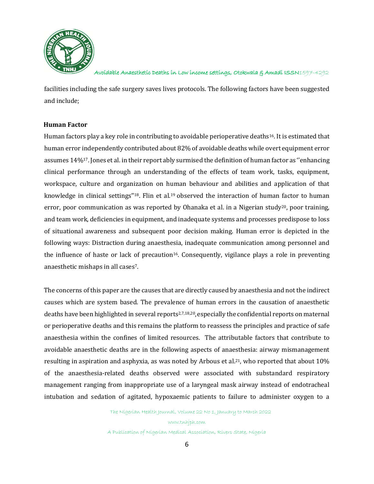

facilities including the safe surgery saves lives protocols. The following factors have been suggested and include;

### **Human Factor**

Human factors play a key role in contributing to avoidable perioperative deaths<sup>16</sup>. It is estimated that human error independently contributed about 82% of avoidable deaths while overt equipment error assumes 14%17. Jones et al. in their report ably surmised the definition of human factor as ''enhancing clinical performance through an understanding of the effects of team work, tasks, equipment, workspace, culture and organization on human behaviour and abilities and application of that knowledge in clinical settings"<sup>18</sup>. Flin et al.<sup>19</sup> observed the interaction of human factor to human error, poor communication as was reported by Ohanaka et al. in a Nigerian study<sup>20</sup>, poor training, and team work, deficiencies in equipment, and inadequate systems and processes predispose to loss of situational awareness and subsequent poor decision making. Human error is depicted in the following ways: Distraction during anaesthesia, inadequate communication among personnel and the influence of haste or lack of precaution<sup>16</sup>. Consequently, vigilance plays a role in preventing anaesthetic mishaps in all cases 7.

The concerns of this paper are the causes that are directly caused by anaesthesia and not the indirect causes which are system based. The prevalence of human errors in the causation of anaesthetic deaths have been highlighted in several reports<sup>2,7,18,20</sup>, especially the confidential reports on maternal or perioperative deaths and this remains the platform to reassess the principles and practice of safe anaesthesia within the confines of limited resources. The attributable factors that contribute to avoidable anaesthetic deaths are in the following aspects of anaesthesia: airway mismanagement resulting in aspiration and asphyxia, as was noted by Arbous et al.<sup>21</sup>, who reported that about 10% of the anaesthesia-related deaths observed were associated with substandard respiratory management ranging from inappropriate use of a laryngeal mask airway instead of endotracheal intubation and sedation of agitated, hypoxaemic patients to failure to administer oxygen to a

The Nigerian Health Journal, Volume 22 No 1, January to March 2022

www.tnhjph.com A Publication of Nigerian Medical Association, Rivers State, Nigeria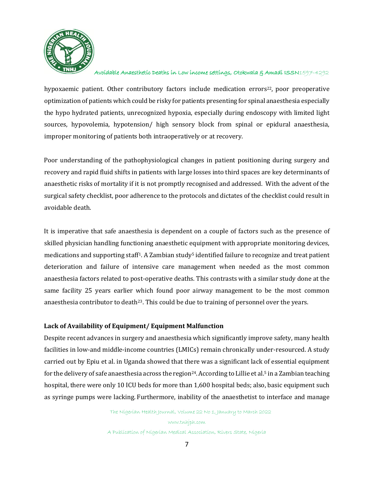

hypoxaemic patient. Other contributory factors include medication errors<sup>22</sup>, poor preoperative optimization of patients which could be risky for patients presenting for spinal anaesthesia especially the hypo hydrated patients, unrecognized hypoxia, especially during endoscopy with limited light sources, hypovolemia, hypotension/ high sensory block from spinal or epidural anaesthesia, improper monitoring of patients both intraoperatively or at recovery.

Poor understanding of the pathophysiological changes in patient positioning during surgery and recovery and rapid fluid shifts in patients with large losses into third spaces are key determinants of anaesthetic risks of mortality if it is not promptly recognised and addressed. With the advent of the surgical safety checklist, poor adherence to the protocols and dictates of the checklist could result in avoidable death.

It is imperative that safe anaesthesia is dependent on a couple of factors such as the presence of skilled physician handling functioning anaesthetic equipment with appropriate monitoring devices, medications and supporting staff<sup>1</sup>. A Zambian study<sup>5</sup> identified failure to recognize and treat patient deterioration and failure of intensive care management when needed as the most common anaesthesia factors related to post-operative deaths. This contrasts with a similar study done at the same facility 25 years earlier which found poor airway management to be the most common anaesthesia contributor to death<sup>23</sup>. This could be due to training of personnel over the years.

## **Lack of Availability of Equipment/ Equipment Malfunction**

Despite recent advances in surgery and anaesthesia which significantly improve safety, many health facilities in low-and middle-income countries (LMICs) remain chronically under-resourced. A study carried out by Epiu et al. in Uganda showed that there was a significant lack of essential equipment for the delivery of safe anaesthesia across the region<sup>24</sup>. According to Lillie et al.<sup>5</sup> in a Zambian teaching hospital, there were only 10 ICU beds for more than 1,600 hospital beds; also, basic equipment such as syringe pumps were lacking. Furthermore, inability of the anaesthetist to interface and manage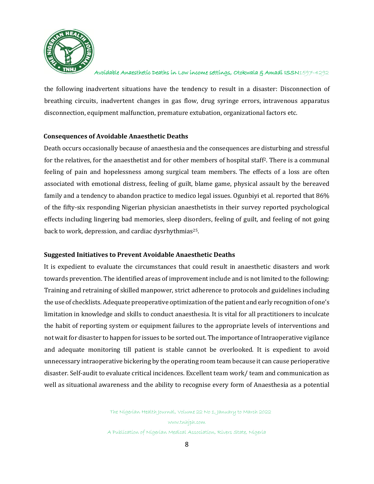

the following inadvertent situations have the tendency to result in a disaster: Disconnection of breathing circuits, inadvertent changes in gas flow, drug syringe errors, intravenous apparatus disconnection, equipment malfunction, premature extubation, organizational factors etc.

### **Consequences of Avoidable Anaesthetic Deaths**

Death occurs occasionally because of anaesthesia and the consequences are disturbing and stressful for the relatives, for the anaesthetist and for other members of hospital staff2. There is a communal feeling of pain and hopelessness among surgical team members. The effects of a loss are often associated with emotional distress, feeling of guilt, blame game, physical assault by the bereaved family and a tendency to abandon practice to medico legal issues. Ogunbiyi et al. reported that 86% of the fifty-six responding Nigerian physician anaesthetists in their survey reported psychological effects including lingering bad memories, sleep disorders, feeling of guilt, and feeling of not going back to work, depression, and cardiac dysrhythmias<sup>25</sup>.

## **Suggested Initiatives to Prevent Avoidable Anaesthetic Deaths**

It is expedient to evaluate the circumstances that could result in anaesthetic disasters and work towards prevention. The identified areas of improvement include and is not limited to the following: Training and retraining of skilled manpower, strict adherence to protocols and guidelines including the use of checklists. Adequate preoperative optimization of the patient and early recognition of one's limitation in knowledge and skills to conduct anaesthesia. It is vital for all practitioners to inculcate the habit of reporting system or equipment failures to the appropriate levels of interventions and not wait for disaster to happen for issues to be sorted out. The importance of Intraoperative vigilance and adequate monitoring till patient is stable cannot be overlooked. It is expedient to avoid unnecessary intraoperative bickering by the operating room team because it can cause perioperative disaster. Self-audit to evaluate critical incidences. Excellent team work/ team and communication as well as situational awareness and the ability to recognise every form of Anaesthesia as a potential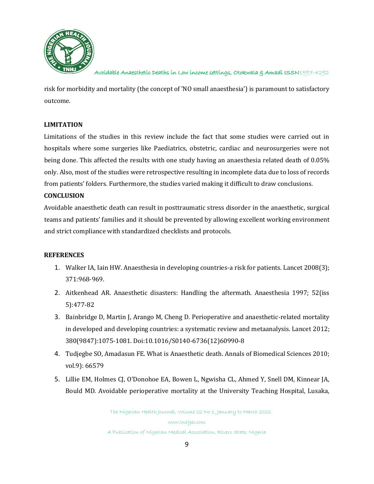

risk for morbidity and mortality (the concept of 'NO small anaesthesia') is paramount to satisfactory outcome.

## **LIMITATION**

Limitations of the studies in this review include the fact that some studies were carried out in hospitals where some surgeries like Paediatrics, obstetric, cardiac and neurosurgeries were not being done. This affected the results with one study having an anaesthesia related death of 0.05% only. Also, most of the studies were retrospective resulting in incomplete data due to loss of records from patients' folders. Furthermore, the studies varied making it difficult to draw conclusions.

### **CONCLUSION**

Avoidable anaesthetic death can result in posttraumatic stress disorder in the anaesthetic, surgical teams and patients' families and it should be prevented by allowing excellent working environment and strict compliance with standardized checklists and protocols.

### **REFERENCES**

- 1. Walker IA, Iain HW. Anaesthesia in developing countries-a risk for patients. Lancet 2008(3); 371:968-969.
- 2. Aitkenhead AR. Anaesthetic disasters: Handling the aftermath. Anaesthesia 1997; 52(iss 5):477-82
- 3. Bainbridge D, Martin J, Arango M, Cheng D. Perioperative and anaesthetic-related mortality in developed and developing countries: a systematic review and metaanalysis. Lancet 2012; 380(9847):1075-1081. Doi:10.1016/S0140-6736(12)60990-8
- 4. Tudjegbe SO, Amadasun FE. What is Anaesthetic death. Annals of Biomedical Sciences 2010; vol.9): 66579
- 5. Lillie EM, Holmes CJ, O'Donohoe EA, Bowen L, Ngwisha CL, Ahmed Y, Snell DM, Kinnear JA, Bould MD. Avoidable perioperative mortality at the University Teaching Hospital, Lusaka,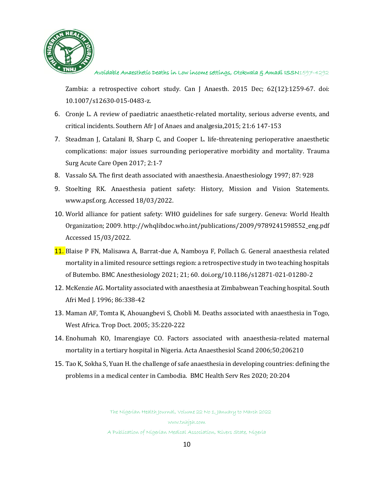

Zambia: a retrospective cohort study. Can J Anaesth. 2015 Dec; 62(12):1259-67. doi: 10.1007/s12630-015-0483-z.

- 6. Cronje L. A review of paediatric anaesthetic-related mortality, serious adverse events, and critical incidents. Southern Afr J of Anaes and analgesia,2015; 21:6 147-153
- 7. Steadman J, Catalani B, Sharp C, and Cooper L. life-threatening perioperative anaesthetic complications: major issues surrounding perioperative morbidity and mortality. Trauma Surg Acute Care Open 2017; 2:1-7
- 8. Vassalo SA. The first death associated with anaesthesia. Anaesthesiology 1997; 87: 928
- 9. Stoelting RK. Anaesthesia patient safety: History, Mission and Vision Statements. [www.apsf.org.](http://www.apsf.org/) Accessed 18/03/2022.
- 10. World alliance for patient safety: WHO guidelines for safe surgery. Geneva: World Health Organization; 2009[. http://whqlibdoc.who.int/publications/2009/9789241598552\\_eng.pdf](http://whqlibdoc.who.int/publications/2009/9789241598552_eng.pdf%20Accessed%2015/03/2022)  [Accessed 15/03/2022.](http://whqlibdoc.who.int/publications/2009/9789241598552_eng.pdf%20Accessed%2015/03/2022)
- 11. Blaise P FN, Malisawa A, Barrat-due A, Namboya F, Pollach G. General anaesthesia related mortality in a limited resource settings region: a retrospective study in two teaching hospitals of Butembo. BMC Anesthesiology 2021; 21; 60. doi.org/10.1186/s12871-021-01280-2
- 12. McKenzie AG. Mortality associated with anaesthesia at Zimbabwean Teaching hospital. South Afri Med J. 1996; 86:338-42
- 13. Maman AF, Tomta K, Ahouangbevi S, Chobli M. Deaths associated with anaesthesia in Togo, West Africa. Trop Doct. 2005; 35:220-222
- 14. Enohumah KO, Imarengiaye CO. Factors associated with anaesthesia-related maternal mortality in a tertiary hospital in Nigeria. Acta Anaesthesiol Scand 2006;50;206210
- 15. Tao K, Sokha S, Yuan H. the challenge of safe anaesthesia in developing countries: defining the problems in a medical center in Cambodia. BMC Health Serv Res 2020; 20:204